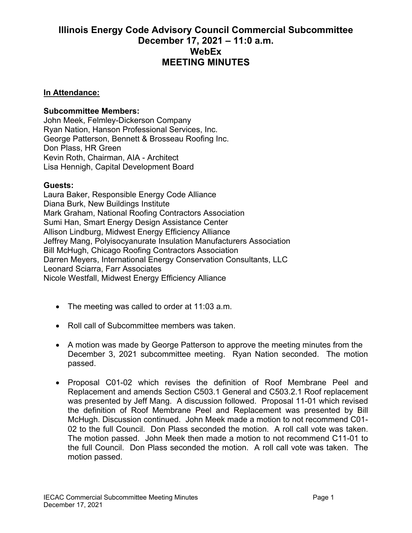## **Illinois Energy Code Advisory Council Commercial Subcommittee December 17, 2021 – 11:0 a.m. WebEx MEETING MINUTES**

## **In Attendance:**

## **Subcommittee Members:**

John Meek, Felmley-Dickerson Company Ryan Nation, Hanson Professional Services, Inc. George Patterson, Bennett & Brosseau Roofing Inc. Don Plass, HR Green Kevin Roth, Chairman, AIA - Architect Lisa Hennigh, Capital Development Board

## **Guests:**

Laura Baker, Responsible Energy Code Alliance Diana Burk, New Buildings Institute Mark Graham, National Roofing Contractors Association Sumi Han, Smart Energy Design Assistance Center Allison Lindburg, Midwest Energy Efficiency Alliance Jeffrey Mang, Polyisocyanurate Insulation Manufacturers Association Bill McHugh, Chicago Roofing Contractors Association Darren Meyers, International Energy Conservation Consultants, LLC Leonard Sciarra, Farr Associates Nicole Westfall, Midwest Energy Efficiency Alliance

- The meeting was called to order at 11:03 a.m.
- Roll call of Subcommittee members was taken.
- A motion was made by George Patterson to approve the meeting minutes from the December 3, 2021 subcommittee meeting. Ryan Nation seconded. The motion passed.
- Proposal C01-02 which revises the definition of Roof Membrane Peel and Replacement and amends Section C503.1 General and C503.2.1 Roof replacement was presented by Jeff Mang. A discussion followed. Proposal 11-01 which revised the definition of Roof Membrane Peel and Replacement was presented by Bill McHugh. Discussion continued. John Meek made a motion to not recommend C01- 02 to the full Council. Don Plass seconded the motion. A roll call vote was taken. The motion passed. John Meek then made a motion to not recommend C11-01 to the full Council. Don Plass seconded the motion. A roll call vote was taken. The motion passed.